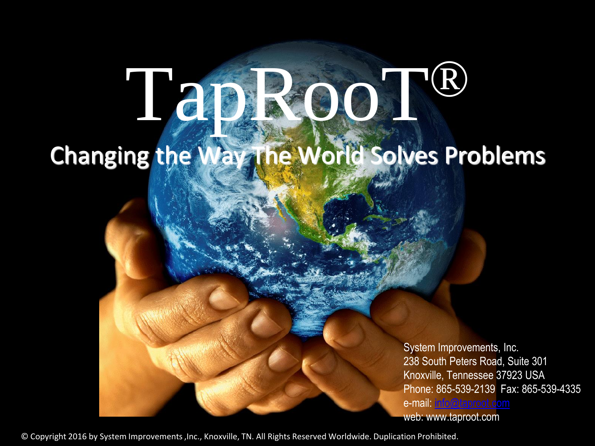# Tap Root® Changing the Way The World Solves Problems

System Improvements, Inc. 238 South Peters Road, Suite 301 Knoxville, Tennessee 37923 USA Phone: 865-539-2139 Fax: 865-539-4335 e-mail: [info@taproot.com](mailto:info@taproot.com) web: www.taproot.com

© Copyright 2016 by System Improvements ,Inc., Knoxville, TN. All Rights Reserved Worldwide. Duplication Prohibited.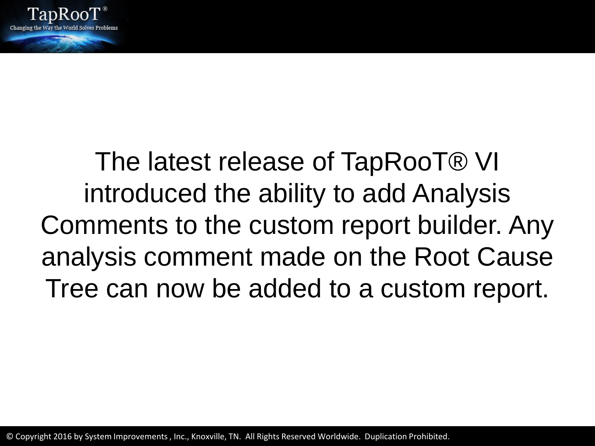

## The latest release of TapRooT® VI introduced the ability to add Analysis Comments to the custom report builder. Any analysis comment made on the Root Cause Tree can now be added to a custom report.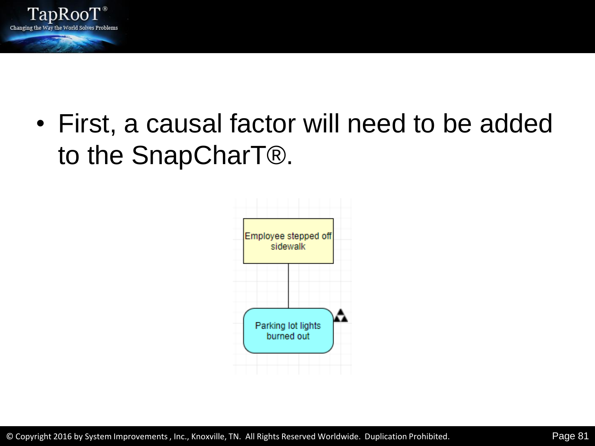

• First, a causal factor will need to be added to the SnapCharT®.

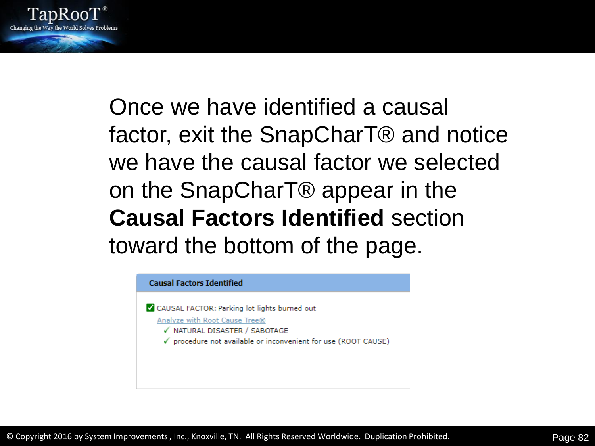

Once we have identified a causal factor, exit the SnapCharT® and notice we have the causal factor we selected on the SnapCharT® appear in the **Causal Factors Identified** section toward the bottom of the page.

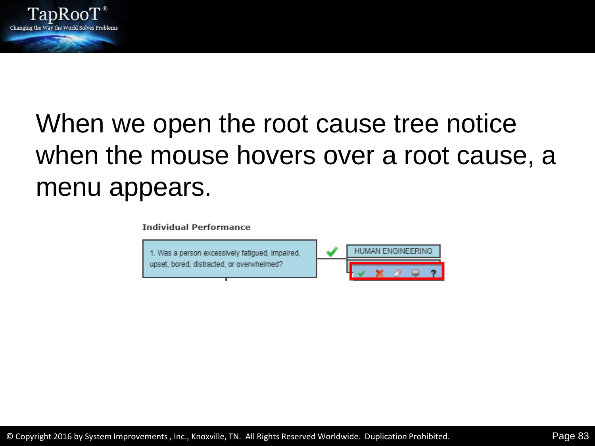

## When we open the root cause tree notice when the mouse hovers over a root cause, a menu appears.

**Individual Performance** 

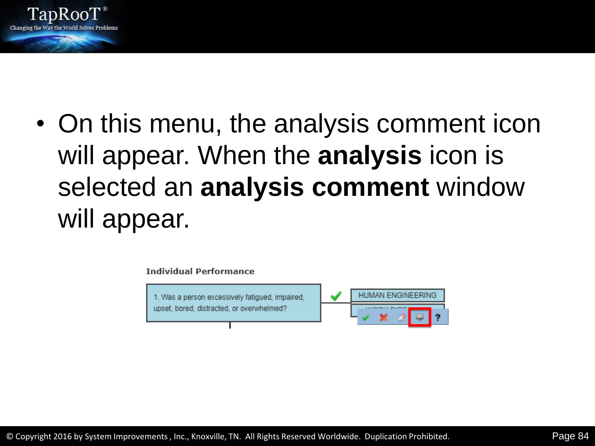

• On this menu, the analysis comment icon will appear. When the **analysis** icon is selected an **analysis comment** window will appear.

**Individual Performance** 



© Copyright 2016 by System Improvements , Inc., Knoxville, TN. All Rights Reserved Worldwide. Duplication Prohibited. Page 84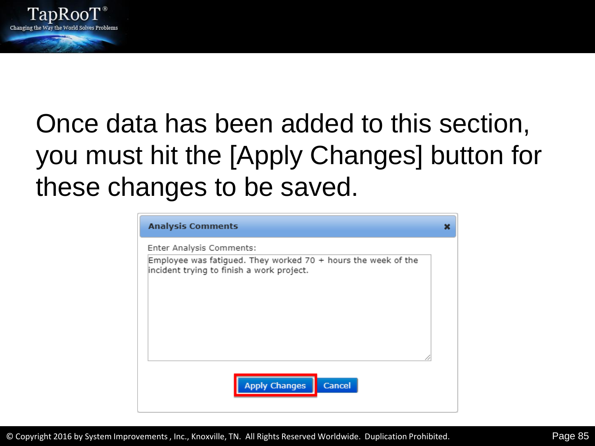

## Once data has been added to this section, you must hit the [Apply Changes] button for these changes to be saved.

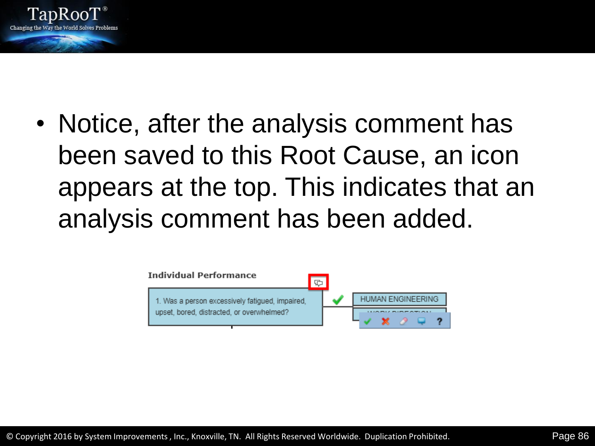

• Notice, after the analysis comment has been saved to this Root Cause, an icon appears at the top. This indicates that an analysis comment has been added.

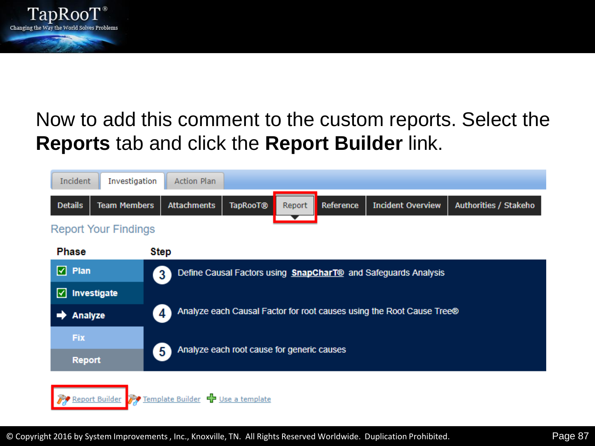

#### Now to add this comment to the custom reports. Select the **Reports** tab and click the **Report Builder** link.

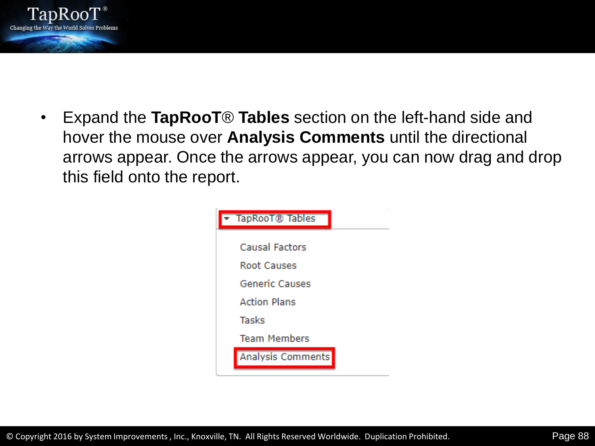

• Expand the **TapRooT**® **Tables** section on the left-hand side and hover the mouse over **Analysis Comments** until the directional arrows appear. Once the arrows appear, you can now drag and drop this field onto the report.

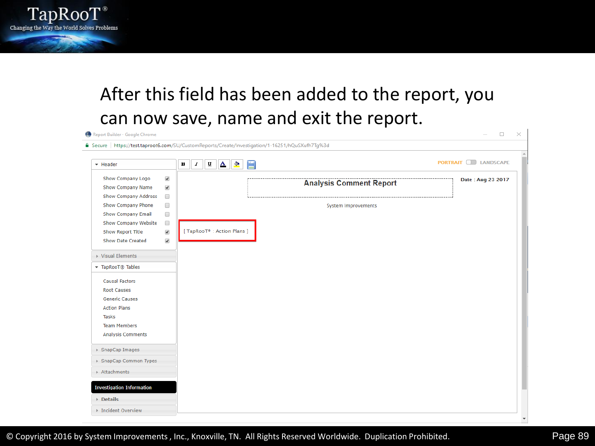

#### After this field has been added to the report, you can now save, name and exit the report.

| + Header                         |                      | $\Delta$<br>$\bullet$<br> U <br>$\, {\bf B} \,$<br>$\boldsymbol{I}$<br>⋿ |                                | <b>PORTRAIT DE LANDSCAPE</b> |
|----------------------------------|----------------------|--------------------------------------------------------------------------|--------------------------------|------------------------------|
| Show Company Logo                | $\blacktriangledown$ |                                                                          |                                | Date: Aug 23 2017            |
| <b>Show Company Name</b>         | $\blacktriangledown$ |                                                                          | <b>Analysis Comment Report</b> |                              |
| Show Company Address             | $\Box$               |                                                                          |                                |                              |
| Show Company Phone               | $\Box$               |                                                                          | System Improvements            |                              |
| Show Company Email               | $\Box$               |                                                                          |                                |                              |
| Show Company Website             | $\Box$               |                                                                          |                                |                              |
| Show Report Title                | $\blacktriangledown$ | [TapRooT® : Action Plans ]                                               |                                |                              |
| Show Date Created                | $\blacktriangledown$ |                                                                          |                                |                              |
| ▶ Visual Elements                |                      |                                                                          |                                |                              |
| TapRooT® Tables                  |                      |                                                                          |                                |                              |
| <b>Causal Factors</b>            |                      |                                                                          |                                |                              |
| <b>Root Causes</b>               |                      |                                                                          |                                |                              |
| <b>Generic Causes</b>            |                      |                                                                          |                                |                              |
| <b>Action Plans</b>              |                      |                                                                          |                                |                              |
| Tasks                            |                      |                                                                          |                                |                              |
| <b>Team Members</b>              |                      |                                                                          |                                |                              |
| Analysis Comments                |                      |                                                                          |                                |                              |
| ▶ SnapCap Images                 |                      |                                                                          |                                |                              |
| ▶ SnapCap Common Types           |                      |                                                                          |                                |                              |
| Attachments                      |                      |                                                                          |                                |                              |
| <b>Investigation Information</b> |                      |                                                                          |                                |                              |
| <b>▶ Details</b>                 |                      |                                                                          |                                |                              |

 $\mathbf{I}$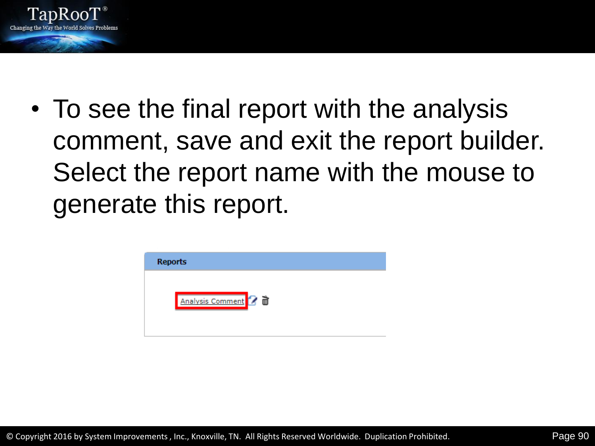

• To see the final report with the analysis comment, save and exit the report builder. Select the report name with the mouse to generate this report.